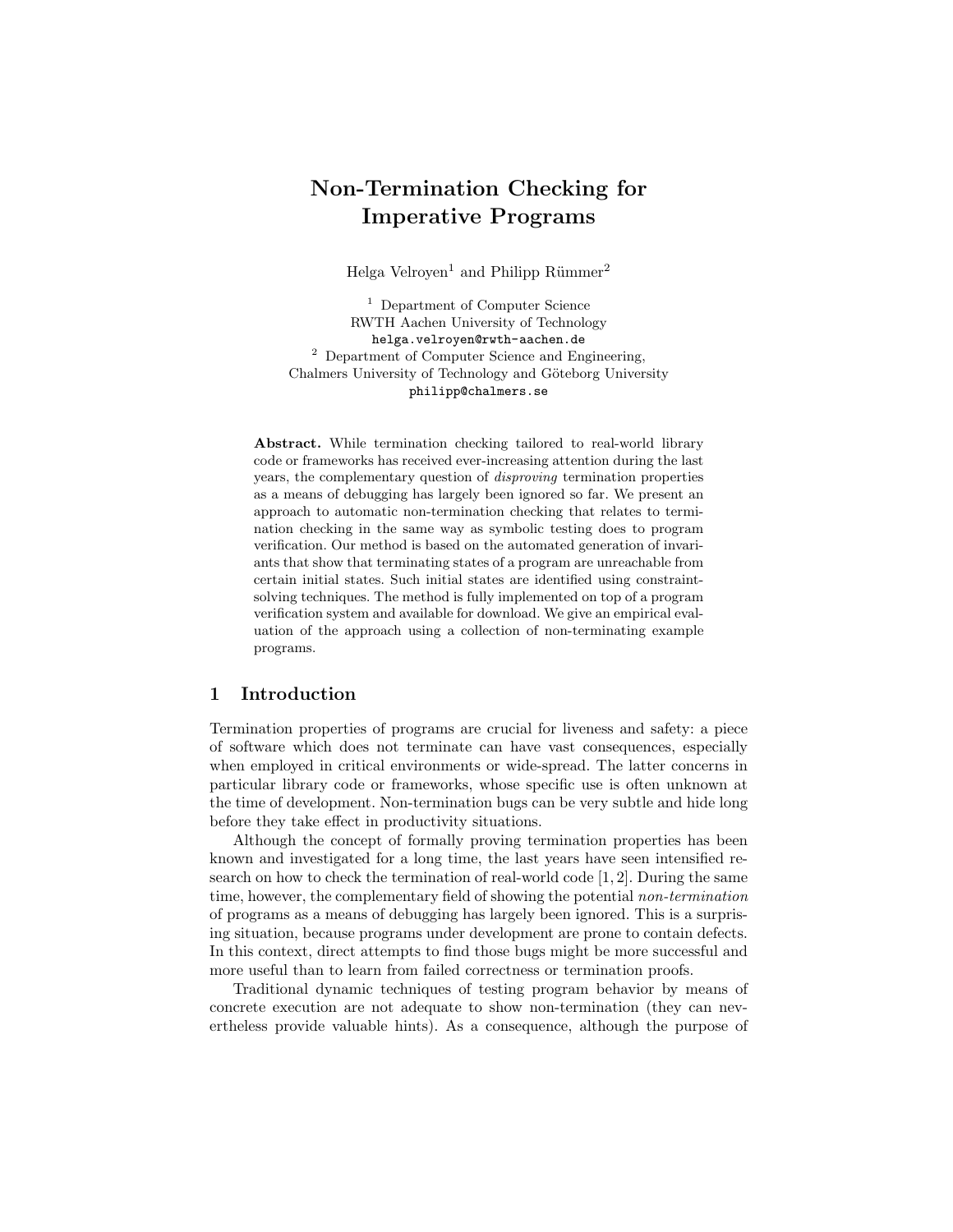# Non-Termination Checking for Imperative Programs

Helga Velroyen<sup>1</sup> and Philipp Rümmer<sup>2</sup>

<sup>1</sup> Department of Computer Science RWTH Aachen University of Technology helga.velroyen@rwth-aachen.de <sup>2</sup> Department of Computer Science and Engineering, Chalmers University of Technology and Göteborg University philipp@chalmers.se

Abstract. While termination checking tailored to real-world library code or frameworks has received ever-increasing attention during the last years, the complementary question of disproving termination properties as a means of debugging has largely been ignored so far. We present an approach to automatic non-termination checking that relates to termination checking in the same way as symbolic testing does to program verification. Our method is based on the automated generation of invariants that show that terminating states of a program are unreachable from certain initial states. Such initial states are identified using constraintsolving techniques. The method is fully implemented on top of a program verification system and available for download. We give an empirical evaluation of the approach using a collection of non-terminating example programs.

## 1 Introduction

Termination properties of programs are crucial for liveness and safety: a piece of software which does not terminate can have vast consequences, especially when employed in critical environments or wide-spread. The latter concerns in particular library code or frameworks, whose specific use is often unknown at the time of development. Non-termination bugs can be very subtle and hide long before they take effect in productivity situations.

Although the concept of formally proving termination properties has been known and investigated for a long time, the last years have seen intensified research on how to check the termination of real-world code  $[1, 2]$ . During the same time, however, the complementary field of showing the potential non-termination of programs as a means of debugging has largely been ignored. This is a surprising situation, because programs under development are prone to contain defects. In this context, direct attempts to find those bugs might be more successful and more useful than to learn from failed correctness or termination proofs.

Traditional dynamic techniques of testing program behavior by means of concrete execution are not adequate to show non-termination (they can nevertheless provide valuable hints). As a consequence, although the purpose of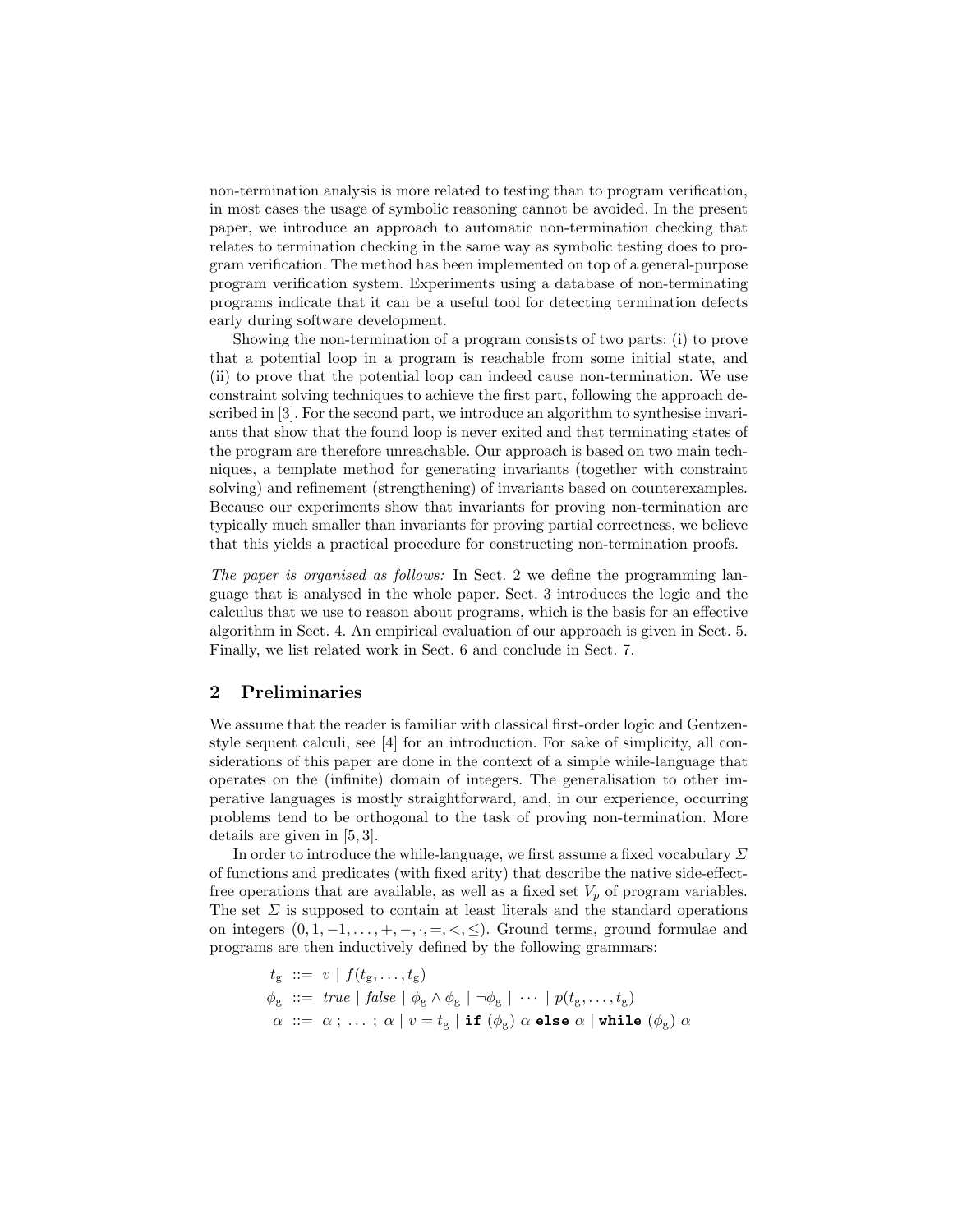non-termination analysis is more related to testing than to program verification, in most cases the usage of symbolic reasoning cannot be avoided. In the present paper, we introduce an approach to automatic non-termination checking that relates to termination checking in the same way as symbolic testing does to program verification. The method has been implemented on top of a general-purpose program verification system. Experiments using a database of non-terminating programs indicate that it can be a useful tool for detecting termination defects early during software development.

Showing the non-termination of a program consists of two parts: (i) to prove that a potential loop in a program is reachable from some initial state, and (ii) to prove that the potential loop can indeed cause non-termination. We use constraint solving techniques to achieve the first part, following the approach described in [3]. For the second part, we introduce an algorithm to synthesise invariants that show that the found loop is never exited and that terminating states of the program are therefore unreachable. Our approach is based on two main techniques, a template method for generating invariants (together with constraint solving) and refinement (strengthening) of invariants based on counterexamples. Because our experiments show that invariants for proving non-termination are typically much smaller than invariants for proving partial correctness, we believe that this yields a practical procedure for constructing non-termination proofs.

The paper is organised as follows: In Sect. 2 we define the programming language that is analysed in the whole paper. Sect. 3 introduces the logic and the calculus that we use to reason about programs, which is the basis for an effective algorithm in Sect. 4. An empirical evaluation of our approach is given in Sect. 5. Finally, we list related work in Sect. 6 and conclude in Sect. 7.

# 2 Preliminaries

We assume that the reader is familiar with classical first-order logic and Gentzenstyle sequent calculi, see [4] for an introduction. For sake of simplicity, all considerations of this paper are done in the context of a simple while-language that operates on the (infinite) domain of integers. The generalisation to other imperative languages is mostly straightforward, and, in our experience, occurring problems tend to be orthogonal to the task of proving non-termination. More details are given in [5, 3].

In order to introduce the while-language, we first assume a fixed vocabulary  $\Sigma$ of functions and predicates (with fixed arity) that describe the native side-effectfree operations that are available, as well as a fixed set  $V_p$  of program variables. The set  $\Sigma$  is supposed to contain at least literals and the standard operations on integers  $(0, 1, -1, \ldots, +, -, \cdot, =, <, \leq)$ . Ground terms, ground formulae and programs are then inductively defined by the following grammars:

$$
t_{\rm g} ::= v | f(t_{\rm g},...,t_{\rm g})
$$
  
\n
$$
\phi_{\rm g} ::= true | false | \phi_{\rm g} \land \phi_{\rm g} | \neg \phi_{\rm g} | \cdots | p(t_{\rm g},...,t_{\rm g})
$$
  
\n
$$
\alpha ::= \alpha ; \dots ; \alpha | v = t_{\rm g} | \text{if } (\phi_{\rm g}) \alpha \text{ else } \alpha | \text{while } (\phi_{\rm g}) \alpha
$$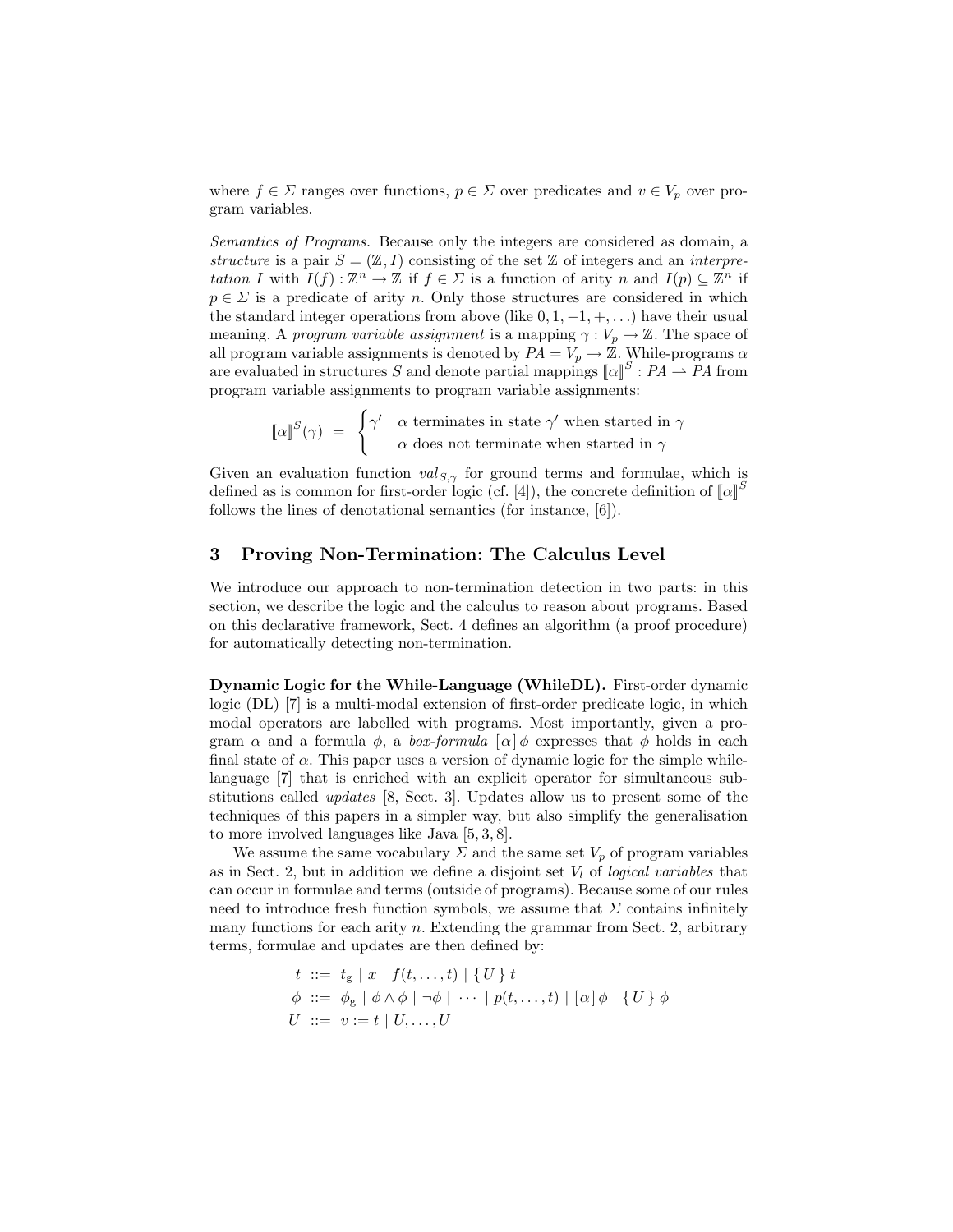where  $f \in \Sigma$  ranges over functions,  $p \in \Sigma$  over predicates and  $v \in V_p$  over program variables.

Semantics of Programs. Because only the integers are considered as domain, a structure is a pair  $S = (\mathbb{Z}, I)$  consisting of the set  $\mathbb Z$  of integers and an *interpre*tation I with  $I(f): \mathbb{Z}^n \to \mathbb{Z}$  if  $f \in \Sigma$  is a function of arity n and  $I(p) \subseteq \mathbb{Z}^n$  if  $p \in \Sigma$  is a predicate of arity n. Only those structures are considered in which the standard integer operations from above (like  $0, 1, -1, +, \ldots$ ) have their usual meaning. A program variable assignment is a mapping  $\gamma : V_p \to \mathbb{Z}$ . The space of all program variable assignments is denoted by  $PA = V_p \rightarrow \mathbb{Z}$ . While-programs  $\alpha$ are evaluated in structures S and denote partial mappings  $\llbracket \alpha \rrbracket^S : PA \to PA$  from program variable assignments to program variable assignments:

$$
[\![\alpha]\!]^S(\gamma) \ = \ \begin{cases} \gamma' & \text{$\alpha$ terminates in state $\gamma'$ when started in $\gamma$} \\ \bot & \text{$\alpha$ does not terminate when started in $\gamma$} \end{cases}
$$

Given an evaluation function  $val_{S,\gamma}$  for ground terms and formulae, which is defined as is common for first-order logic (cf. [4]), the concrete definition of  $\llbracket \alpha \rrbracket^S$ follows the lines of denotational semantics (for instance, [6]).

## 3 Proving Non-Termination: The Calculus Level

We introduce our approach to non-termination detection in two parts: in this section, we describe the logic and the calculus to reason about programs. Based on this declarative framework, Sect. 4 defines an algorithm (a proof procedure) for automatically detecting non-termination.

Dynamic Logic for the While-Language (WhileDL). First-order dynamic logic (DL) [7] is a multi-modal extension of first-order predicate logic, in which modal operators are labelled with programs. Most importantly, given a program  $\alpha$  and a formula  $\phi$ , a *box-formula*  $\alpha | \phi$  expresses that  $\phi$  holds in each final state of  $\alpha$ . This paper uses a version of dynamic logic for the simple whilelanguage [7] that is enriched with an explicit operator for simultaneous substitutions called updates [8, Sect. 3]. Updates allow us to present some of the techniques of this papers in a simpler way, but also simplify the generalisation to more involved languages like Java [5, 3, 8].

We assume the same vocabulary  $\Sigma$  and the same set  $V_p$  of program variables as in Sect. 2, but in addition we define a disjoint set  $V_l$  of logical variables that can occur in formulae and terms (outside of programs). Because some of our rules need to introduce fresh function symbols, we assume that  $\Sigma$  contains infinitely many functions for each arity n. Extending the grammar from Sect. 2, arbitrary terms, formulae and updates are then defined by:

$$
t ::= t_{g} | x | f(t, \ldots, t) | \{U\} t
$$
  
\n
$$
\phi ::= \phi_{g} | \phi \wedge \phi | \neg \phi | \cdots | p(t, \ldots, t) | [\alpha] \phi | \{U\} \phi
$$
  
\n
$$
U ::= v := t | U, \ldots, U
$$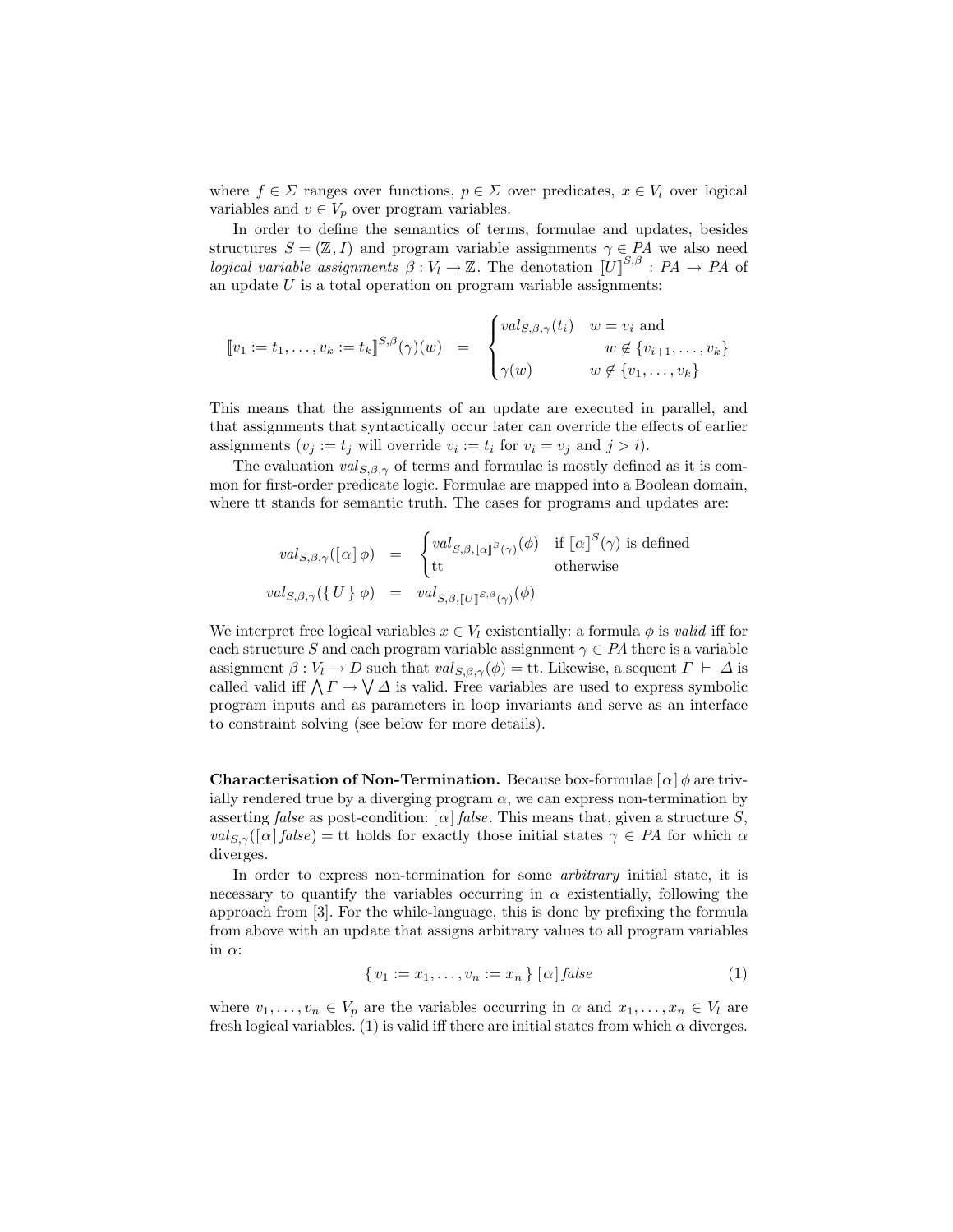where  $f \in \Sigma$  ranges over functions,  $p \in \Sigma$  over predicates,  $x \in V_l$  over logical variables and  $v \in V_p$  over program variables.

In order to define the semantics of terms, formulae and updates, besides structures  $S = (\mathbb{Z}, I)$  and program variable assignments  $\gamma \in PA$  we also need *logical variable assignments*  $\beta: V_l \to \mathbb{Z}$ . The denotation  $[[U]^{S,\beta}: PA \to PA$  of an update  $U$  is a total operation on program variable assignments:

$$
\llbracket v_1 := t_1, \dots, v_k := t_k \rrbracket^{S, \beta}(\gamma)(w) = \begin{cases} \text{val}_{S, \beta, \gamma}(t_i) & w = v_i \text{ and} \\ w \notin \{v_{i+1}, \dots, v_k\} \\ \gamma(w) & w \notin \{v_1, \dots, v_k\} \end{cases}
$$

This means that the assignments of an update are executed in parallel, and that assignments that syntactically occur later can override the effects of earlier assignments  $(v_j := t_j \text{ will override } v_i := t_i \text{ for } v_i = v_j \text{ and } j > i).$ 

The evaluation  $val_{S,\beta,\gamma}$  of terms and formulae is mostly defined as it is common for first-order predicate logic. Formulae are mapped into a Boolean domain, where tt stands for semantic truth. The cases for programs and updates are:

$$
val_{S,\beta,\gamma}([\alpha]\phi) = \begin{cases} val_{S,\beta,[\alpha]}s_{(\gamma)}(\phi) & \text{if } [\![\alpha]\!]^S(\gamma) \text{ is defined} \\ \text{tt} & \text{otherwise} \end{cases}
$$
  

$$
val_{S,\beta,\gamma}(\{U\}\phi) = val_{S,\beta,[\![U]\!]^{S,\beta}(\gamma)}(\phi)
$$

We interpret free logical variables  $x \in V_l$  existentially: a formula  $\phi$  is valid iff for each structure S and each program variable assignment  $\gamma \in PA$  there is a variable assignment  $\beta : V_l \to D$  such that  $val_{S,\beta,\gamma}(\phi) = \text{tt}$ . Likewise, a sequent  $\Gamma \vdash \Delta$  is called valid iff  $\bigwedge \Gamma \to \bigvee \Delta$  is valid. Free variables are used to express symbolic program inputs and as parameters in loop invariants and serve as an interface to constraint solving (see below for more details).

**Characterisation of Non-Termination.** Because box-formulae  $[\alpha]$   $\phi$  are trivially rendered true by a diverging program  $\alpha$ , we can express non-termination by asserting false as post-condition:  $\alpha$  false. This means that, given a structure S,  $val_{S,\gamma}([\alpha]$  false) = tt holds for exactly those initial states  $\gamma \in PA$  for which  $\alpha$ diverges.

In order to express non-termination for some *arbitrary* initial state, it is necessary to quantify the variables occurring in  $\alpha$  existentially, following the approach from [3]. For the while-language, this is done by prefixing the formula from above with an update that assigns arbitrary values to all program variables in  $\alpha$ :

$$
\{v_1 := x_1, \dots, v_n := x_n\} [\alpha] \text{false} \tag{1}
$$

where  $v_1, \ldots, v_n \in V_p$  are the variables occurring in  $\alpha$  and  $x_1, \ldots, x_n \in V_l$  are fresh logical variables. (1) is valid iff there are initial states from which  $\alpha$  diverges.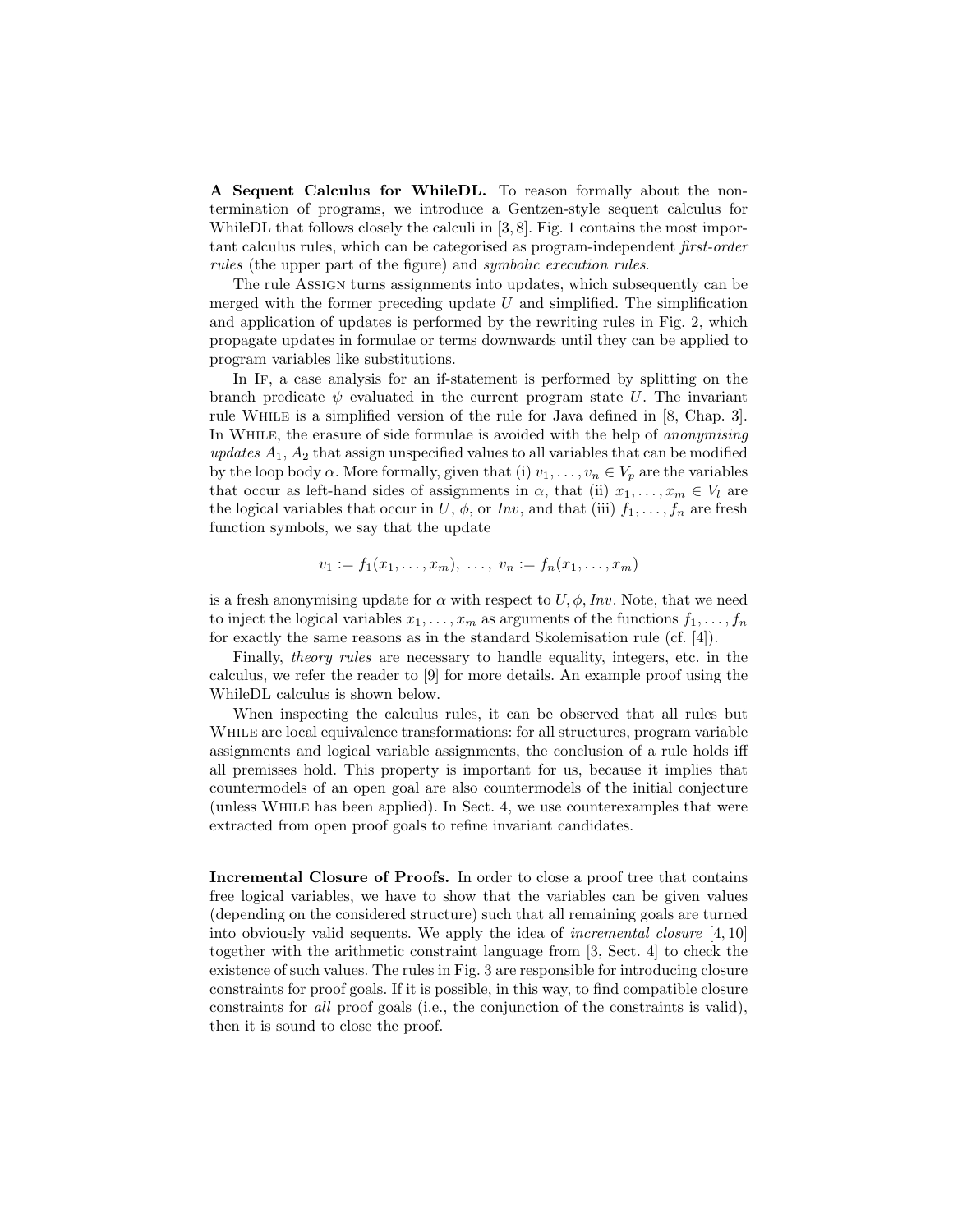A Sequent Calculus for WhileDL. To reason formally about the nontermination of programs, we introduce a Gentzen-style sequent calculus for WhileDL that follows closely the calculi in [3, 8]. Fig. 1 contains the most important calculus rules, which can be categorised as program-independent first-order rules (the upper part of the figure) and symbolic execution rules.

The rule Assign turns assignments into updates, which subsequently can be merged with the former preceding update  $U$  and simplified. The simplification and application of updates is performed by the rewriting rules in Fig. 2, which propagate updates in formulae or terms downwards until they can be applied to program variables like substitutions.

In IF, a case analysis for an if-statement is performed by splitting on the branch predicate  $\psi$  evaluated in the current program state U. The invariant rule While is a simplified version of the rule for Java defined in [8, Chap. 3]. In While, the erasure of side formulae is avoided with the help of anonymising updates  $A_1$ ,  $A_2$  that assign unspecified values to all variables that can be modified by the loop body  $\alpha$ . More formally, given that (i)  $v_1, \ldots, v_n \in V_p$  are the variables that occur as left-hand sides of assignments in  $\alpha$ , that (ii)  $x_1, \ldots, x_m \in V_l$  are the logical variables that occur in U,  $\phi$ , or Inv, and that (iii)  $f_1, \ldots, f_n$  are fresh function symbols, we say that the update

$$
v_1 := f_1(x_1, \ldots, x_m), \ \ldots, \ v_n := f_n(x_1, \ldots, x_m)
$$

is a fresh anonymising update for  $\alpha$  with respect to  $U, \phi, Inv$ . Note, that we need to inject the logical variables  $x_1, \ldots, x_m$  as arguments of the functions  $f_1, \ldots, f_n$ for exactly the same reasons as in the standard Skolemisation rule (cf. [4]).

Finally, *theory rules* are necessary to handle equality, integers, etc. in the calculus, we refer the reader to [9] for more details. An example proof using the WhileDL calculus is shown below.

When inspecting the calculus rules, it can be observed that all rules but While are local equivalence transformations: for all structures, program variable assignments and logical variable assignments, the conclusion of a rule holds iff all premisses hold. This property is important for us, because it implies that countermodels of an open goal are also countermodels of the initial conjecture (unless While has been applied). In Sect. 4, we use counterexamples that were extracted from open proof goals to refine invariant candidates.

Incremental Closure of Proofs. In order to close a proof tree that contains free logical variables, we have to show that the variables can be given values (depending on the considered structure) such that all remaining goals are turned into obviously valid sequents. We apply the idea of incremental closure [4, 10] together with the arithmetic constraint language from [3, Sect. 4] to check the existence of such values. The rules in Fig. 3 are responsible for introducing closure constraints for proof goals. If it is possible, in this way, to find compatible closure constraints for all proof goals (i.e., the conjunction of the constraints is valid), then it is sound to close the proof.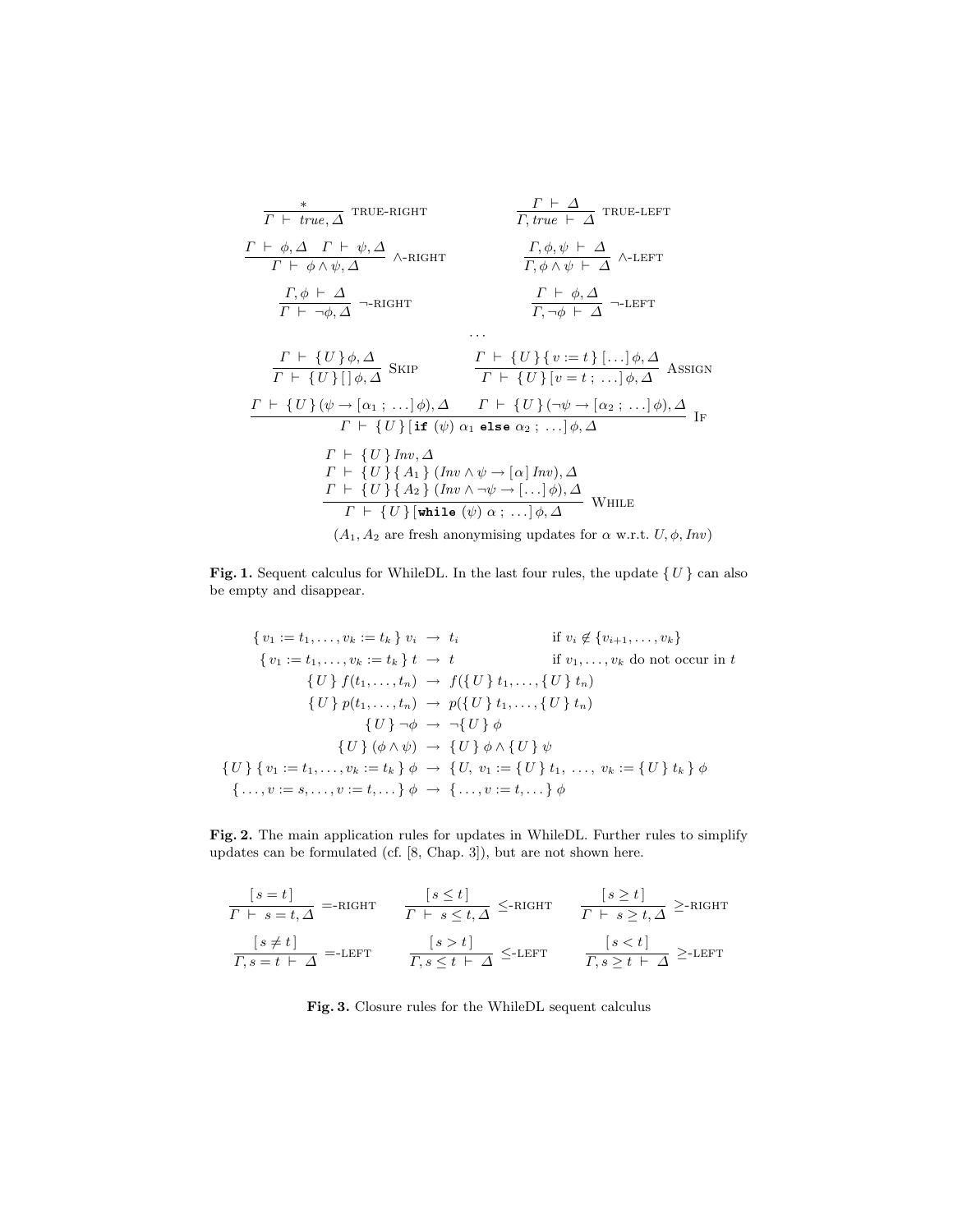$$
\frac{\tau}{\Gamma + true, \Delta} \text{ TRUE-RIGHT} \qquad \frac{\Gamma \vdash \Delta}{\Gamma, true \vdash \Delta} \text{TRUE-LEFT}
$$
\n
$$
\frac{\Gamma \vdash \phi, \Delta \quad \Gamma \vdash \psi, \Delta}{\Gamma \vdash \phi \land \psi, \Delta} \land \text{-RIGHT} \qquad \frac{\Gamma, \phi, \psi \vdash \Delta}{\Gamma, \phi \land \psi \vdash \Delta} \land \text{-LEFT}
$$
\n
$$
\frac{\Gamma, \phi \vdash \Delta}{\Gamma \vdash \neg \phi, \Delta} \neg \text{-RIGHT} \qquad \frac{\Gamma \vdash \phi, \Delta}{\Gamma, \neg \phi \vdash \Delta} \neg \text{-LEFT}
$$
\n...  
\n
$$
\frac{\Gamma \vdash \{U\} \phi, \Delta}{\Gamma \vdash \{U\} [\phi, \Delta]} \text{ SkIP} \qquad \frac{\Gamma \vdash \{U\} \{v := t\} [\dots] \phi, \Delta}{\Gamma \vdash \{U\} [v = t; \dots] \phi, \Delta} \text{ASSIGN}
$$
\n
$$
\frac{\Gamma \vdash \{U\} (\psi \rightarrow [\alpha_1; \dots] \phi), \Delta \quad \Gamma \vdash \{U\} (\neg \psi \rightarrow [\alpha_2; \dots] \phi), \Delta}{\Gamma \vdash \{U\} [\text{if } (\psi) \alpha_1 \text{ else } \alpha_2; \dots] \phi, \Delta} \text{ IF}
$$
\n
$$
\frac{\Gamma \vdash \{U\} \{nv, \Delta}{\Gamma \vdash \{U\} \{A_1\} (Inv \land \psi \rightarrow [\alpha] Inv), \Delta}}{\Gamma \vdash \{U\} \{A_2\} (Inv \land \neg \psi \rightarrow [\dots] \phi), \Delta} \text{ WHILE}
$$
\n
$$
(A_1, A_2 \text{ are fresh anonymous updates for } \alpha \text{ w.r.t. } U, \phi, Inv)
$$

Fig. 1. Sequent calculus for WhileDL. In the last four rules, the update  $\{U\}$  can also be empty and disappear.

$$
\{v_1 := t_1, \ldots, v_k := t_k\} v_i \to t_i \quad \text{if } v_i \notin \{v_{i+1}, \ldots, v_k\} \n\{v_1 := t_1, \ldots, v_k := t_k\} t \to t \quad \text{if } v_1, \ldots, v_k \text{ do not occur in } t
$$
\n
$$
\{U\} f(t_1, \ldots, t_n) \to f(\{U\} t_1, \ldots, \{U\} t_n) \n\{U\} p(t_1, \ldots, t_n) \to p(\{U\} t_1, \ldots, \{U\} t_n) \n\{U\} \neg \phi \to \neg \{U\} \phi \n\{U\} (\phi \land \psi) \to \{U\} \phi \land \{U\} \psi \n\{U\} \{v_1 := t_1, \ldots, v_k := t_k\} \phi \to \{U, v_1 := \{U\} t_1, \ldots, v_k := \{U\} t_k\} \phi \n\{\ldots, v := s, \ldots, v := t, \ldots\} \phi \to \{\ldots, v := t, \ldots\} \phi
$$

Fig. 2. The main application rules for updates in WhileDL. Further rules to simplify updates can be formulated (cf. [8, Chap. 3]), but are not shown here.

$$
\frac{[s=t]}{\Gamma+s=t,\Delta} = \text{RIGHT} \qquad \frac{[s \le t]}{\Gamma+s \le t,\Delta} \le \text{RIGHT} \qquad \frac{[s \ge t]}{\Gamma+s \ge t,\Delta} \ge \text{RIGHT}
$$
\n
$$
\frac{[s \ne t]}{\Gamma,s=t \vdash \Delta} = \text{LEFT} \qquad \frac{[s > t]}{\Gamma,s \le t \vdash \Delta} \le \text{LEFT} \qquad \frac{[s < t]}{\Gamma,s \ge t \vdash \Delta} \ge \text{LEFT}
$$

Fig. 3. Closure rules for the WhileDL sequent calculus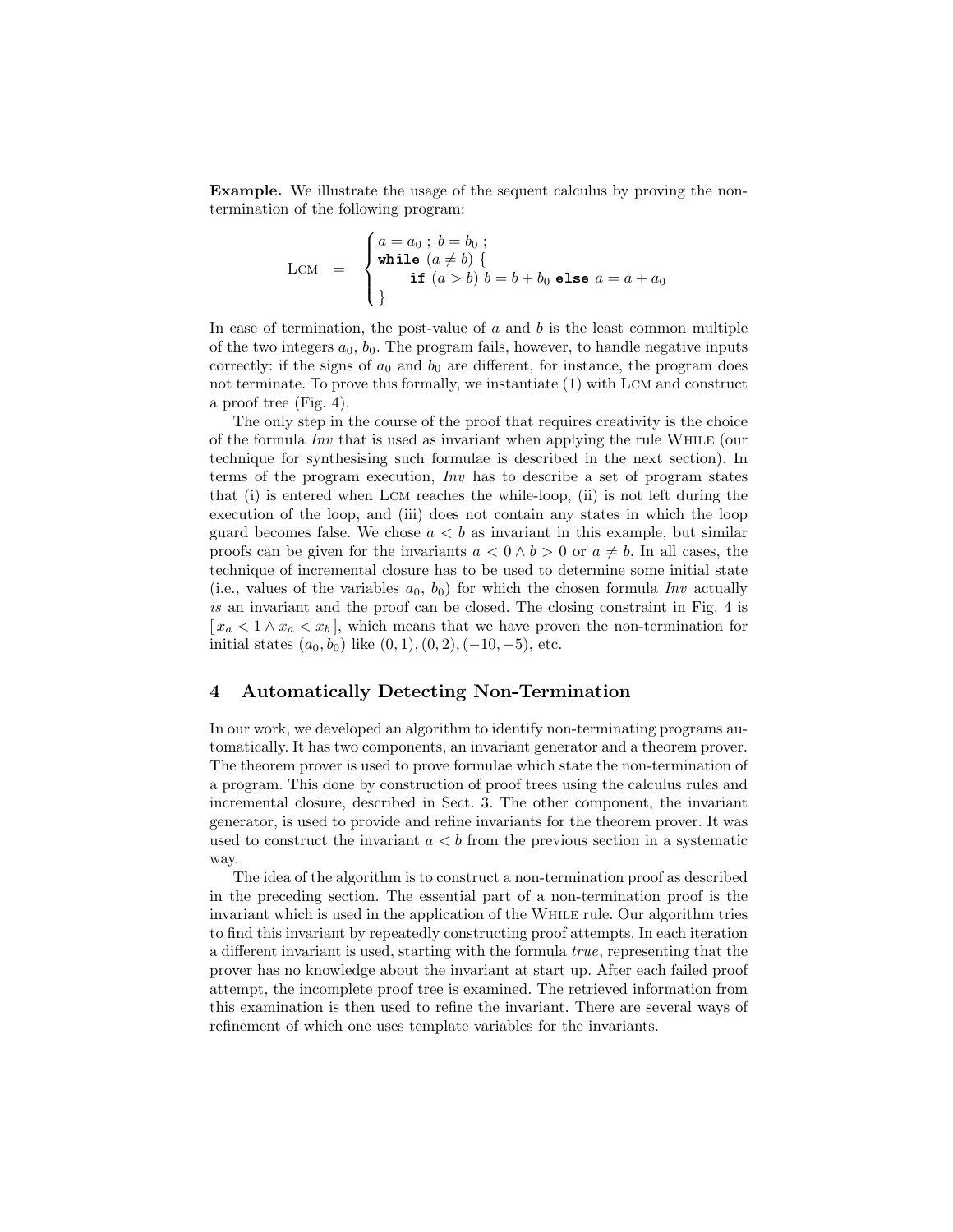Example. We illustrate the usage of the sequent calculus by proving the nontermination of the following program:

$$
\text{LCM} = \begin{cases} a = a_0; \, b = b_0; \\ \text{while } (a \neq b) \{ \\ \text{if } (a > b) \, b = b + b_0 \text{ else } a = a + a_0 \end{cases}
$$

In case of termination, the post-value of  $a$  and  $b$  is the least common multiple of the two integers  $a_0$ ,  $b_0$ . The program fails, however, to handle negative inputs correctly: if the signs of  $a_0$  and  $b_0$  are different, for instance, the program does not terminate. To prove this formally, we instantiate (1) with Lcm and construct a proof tree (Fig. 4).

The only step in the course of the proof that requires creativity is the choice of the formula  $Inv$  that is used as invariant when applying the rule WHILE (our technique for synthesising such formulae is described in the next section). In terms of the program execution, Inv has to describe a set of program states that (i) is entered when Lcm reaches the while-loop, (ii) is not left during the execution of the loop, and (iii) does not contain any states in which the loop guard becomes false. We chose  $a < b$  as invariant in this example, but similar proofs can be given for the invariants  $a < 0 \wedge b > 0$  or  $a \neq b$ . In all cases, the technique of incremental closure has to be used to determine some initial state (i.e., values of the variables  $a_0$ ,  $b_0$ ) for which the chosen formula Inv actually is an invariant and the proof can be closed. The closing constraint in Fig. 4 is  $[x_a < 1 \wedge x_a < x_b]$ , which means that we have proven the non-termination for initial states  $(a_0, b_0)$  like  $(0, 1), (0, 2), (-10, -5)$ , etc.

## 4 Automatically Detecting Non-Termination

In our work, we developed an algorithm to identify non-terminating programs automatically. It has two components, an invariant generator and a theorem prover. The theorem prover is used to prove formulae which state the non-termination of a program. This done by construction of proof trees using the calculus rules and incremental closure, described in Sect. 3. The other component, the invariant generator, is used to provide and refine invariants for the theorem prover. It was used to construct the invariant  $a < b$  from the previous section in a systematic way.

The idea of the algorithm is to construct a non-termination proof as described in the preceding section. The essential part of a non-termination proof is the invariant which is used in the application of the While rule. Our algorithm tries to find this invariant by repeatedly constructing proof attempts. In each iteration a different invariant is used, starting with the formula true, representing that the prover has no knowledge about the invariant at start up. After each failed proof attempt, the incomplete proof tree is examined. The retrieved information from this examination is then used to refine the invariant. There are several ways of refinement of which one uses template variables for the invariants.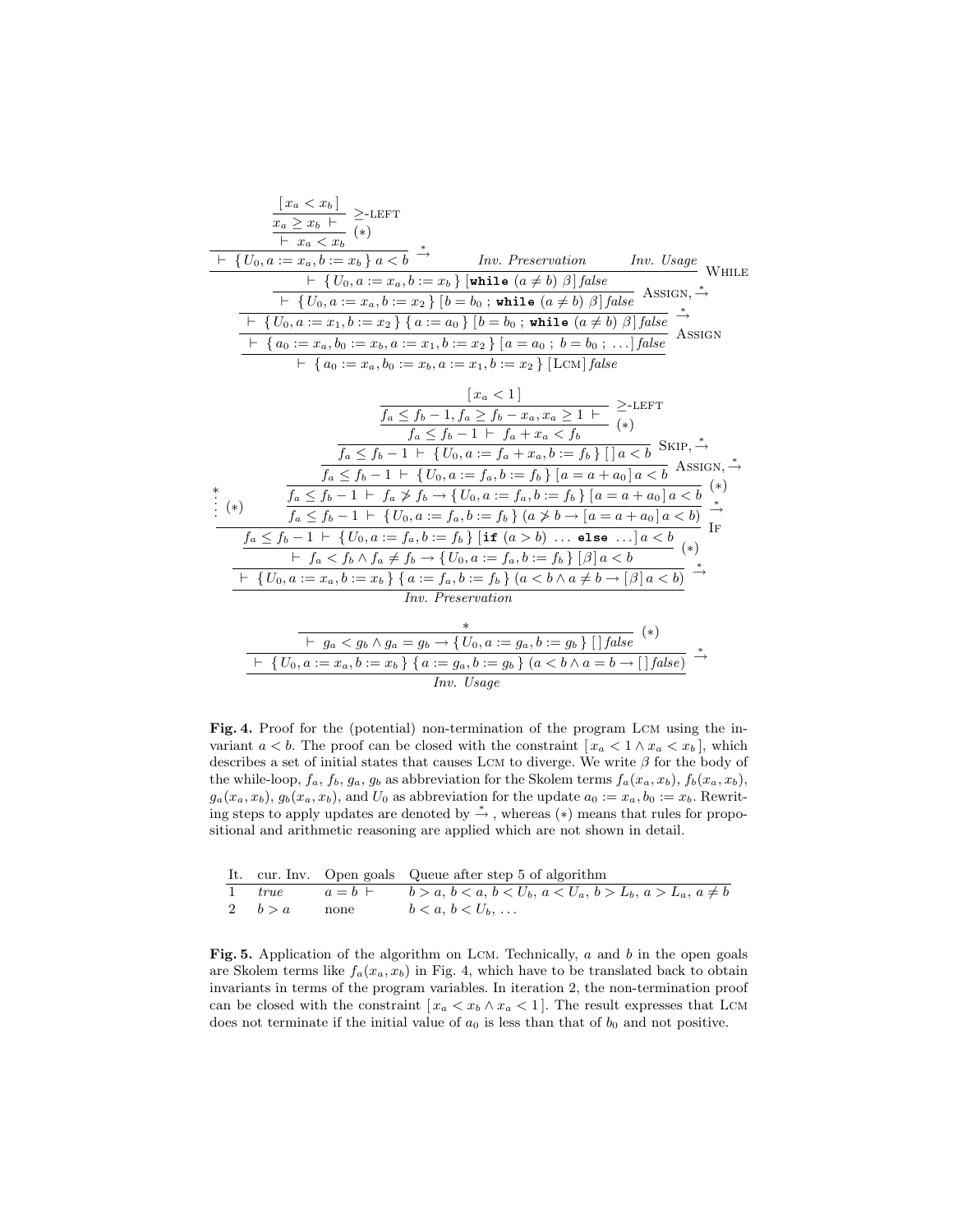

Fig. 4. Proof for the (potential) non-termination of the program LCM using the invariant  $a < b$ . The proof can be closed with the constraint  $[x_a < 1 \land x_a < x_b]$ , which describes a set of initial states that causes LCM to diverge. We write  $\beta$  for the body of the while-loop,  $f_a$ ,  $f_b$ ,  $g_a$ ,  $g_b$  as abbreviation for the Skolem terms  $f_a(x_a, x_b)$ ,  $f_b(x_a, x_b)$ ,  $g_a(x_a, x_b)$ ,  $g_b(x_a, x_b)$ , and  $U_0$  as abbreviation for the update  $a_0 := x_a$ ,  $b_0 := x_b$ . Rewriting steps to apply updates are denoted by  $\stackrel{*}{\rightarrow}$ , whereas (\*) means that rules for propositional and arithmetic reasoning are applied which are not shown in detail.

|  |                | It. cur. Inv. Open goals Queue after step 5 of algorithm                         |
|--|----------------|----------------------------------------------------------------------------------|
|  |                | 1 true $a = b \vdash b > a, b < a, b < U_b, a < U_a, b > L_b, a > L_a, a \neq b$ |
|  | 2 $b > a$ none | $b < a, b < Ub, \ldots$                                                          |

Fig. 5. Application of the algorithm on LCM. Technically,  $a$  and  $b$  in the open goals are Skolem terms like  $f_a(x_a, x_b)$  in Fig. 4, which have to be translated back to obtain invariants in terms of the program variables. In iteration 2, the non-termination proof can be closed with the constraint  $[x_a < x_b \land x_a < 1]$ . The result expresses that LCM does not terminate if the initial value of  $a_0$  is less than that of  $b_0$  and not positive.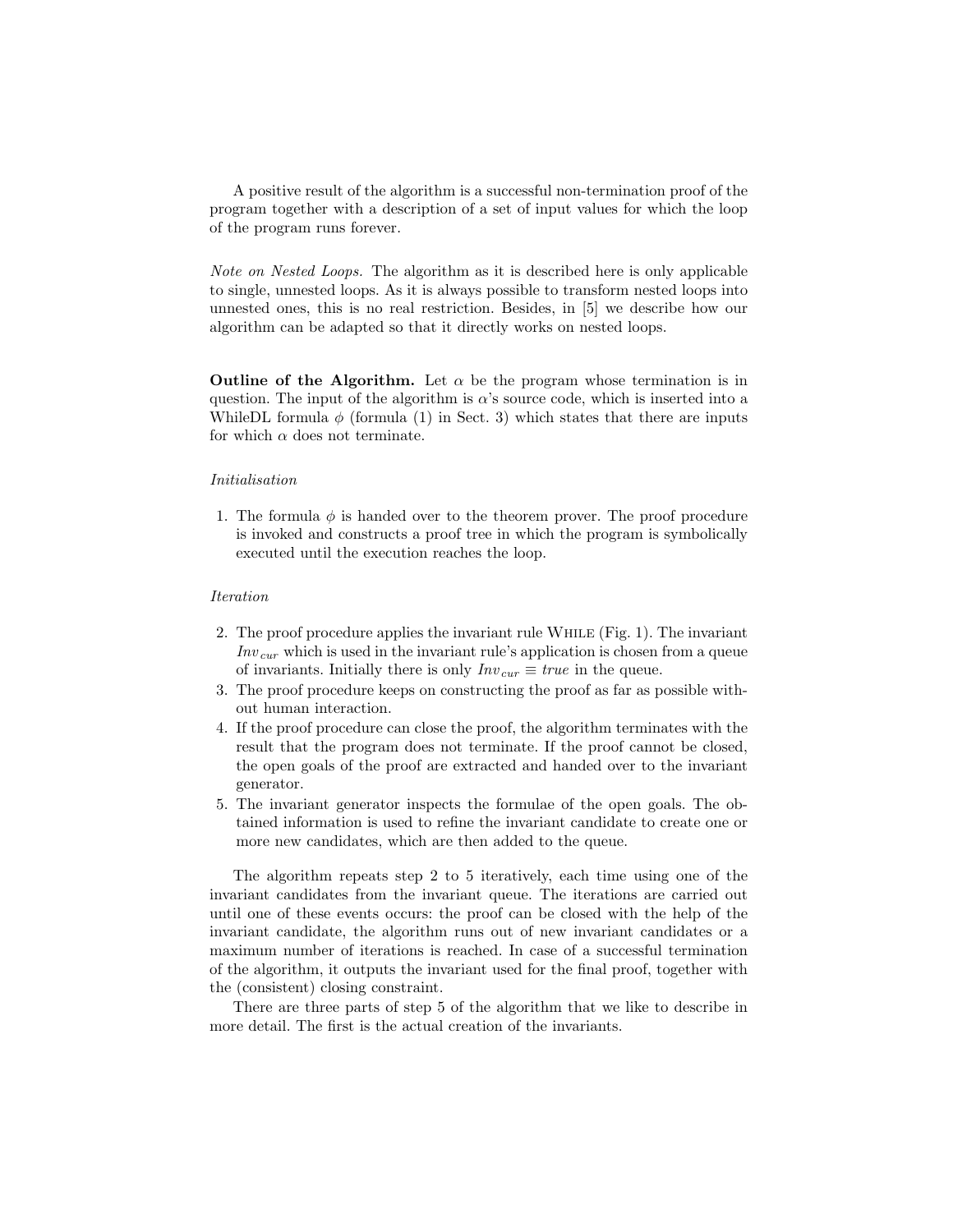A positive result of the algorithm is a successful non-termination proof of the program together with a description of a set of input values for which the loop of the program runs forever.

Note on Nested Loops. The algorithm as it is described here is only applicable to single, unnested loops. As it is always possible to transform nested loops into unnested ones, this is no real restriction. Besides, in [5] we describe how our algorithm can be adapted so that it directly works on nested loops.

**Outline of the Algorithm.** Let  $\alpha$  be the program whose termination is in question. The input of the algorithm is  $\alpha$ 's source code, which is inserted into a WhileDL formula  $\phi$  (formula (1) in Sect. 3) which states that there are inputs for which  $\alpha$  does not terminate.

#### Initialisation

1. The formula  $\phi$  is handed over to the theorem prover. The proof procedure is invoked and constructs a proof tree in which the program is symbolically executed until the execution reaches the loop.

#### Iteration

- 2. The proof procedure applies the invariant rule While (Fig. 1). The invariant  $Inv_{cur}$  which is used in the invariant rule's application is chosen from a queue of invariants. Initially there is only  $Inv_{cur} \equiv true$  in the queue.
- 3. The proof procedure keeps on constructing the proof as far as possible without human interaction.
- 4. If the proof procedure can close the proof, the algorithm terminates with the result that the program does not terminate. If the proof cannot be closed, the open goals of the proof are extracted and handed over to the invariant generator.
- 5. The invariant generator inspects the formulae of the open goals. The obtained information is used to refine the invariant candidate to create one or more new candidates, which are then added to the queue.

The algorithm repeats step 2 to 5 iteratively, each time using one of the invariant candidates from the invariant queue. The iterations are carried out until one of these events occurs: the proof can be closed with the help of the invariant candidate, the algorithm runs out of new invariant candidates or a maximum number of iterations is reached. In case of a successful termination of the algorithm, it outputs the invariant used for the final proof, together with the (consistent) closing constraint.

There are three parts of step 5 of the algorithm that we like to describe in more detail. The first is the actual creation of the invariants.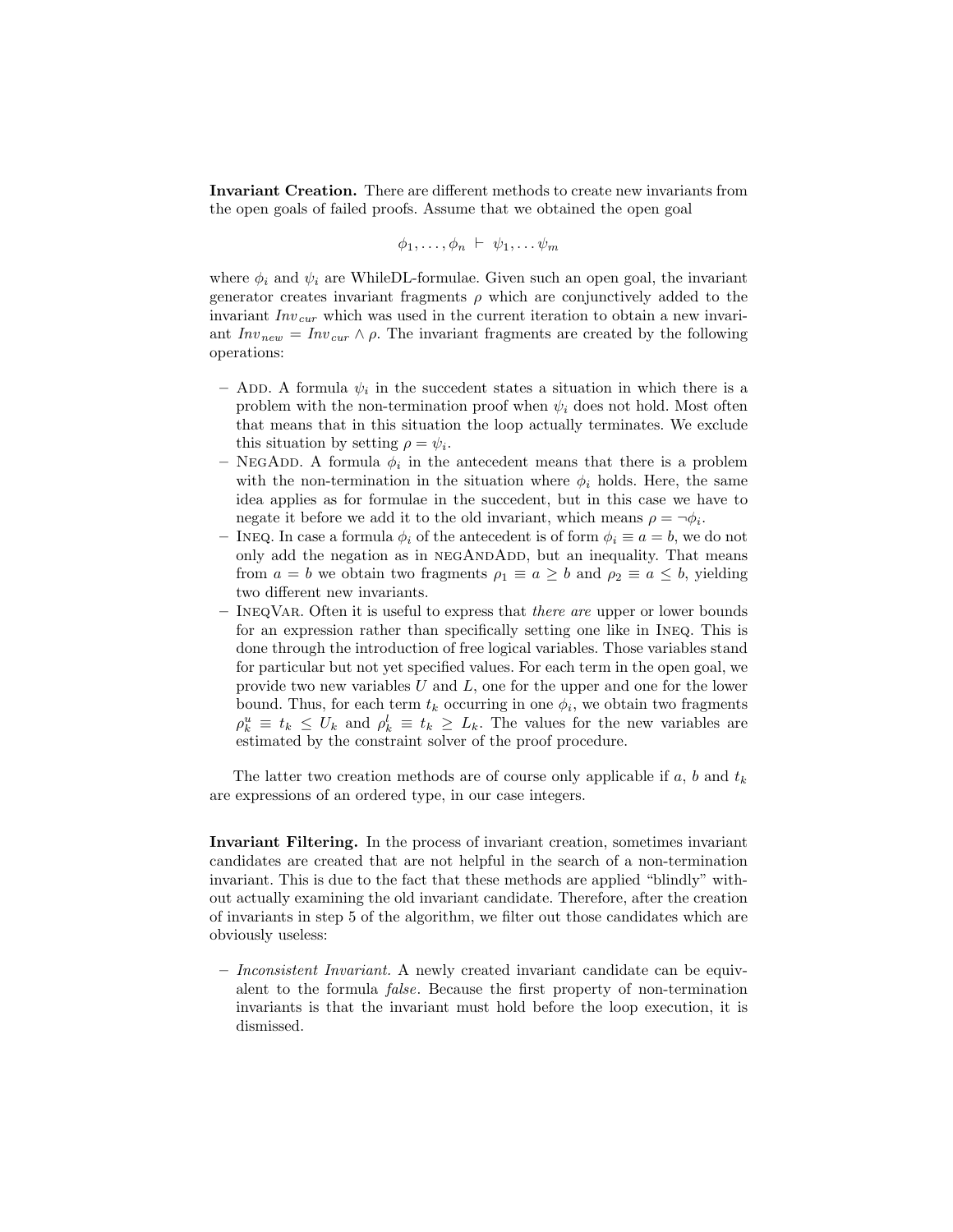Invariant Creation. There are different methods to create new invariants from the open goals of failed proofs. Assume that we obtained the open goal

$$
\phi_1,\ldots,\phi_n \vdash \psi_1,\ldots\psi_m
$$

where  $\phi_i$  and  $\psi_i$  are WhileDL-formulae. Given such an open goal, the invariant generator creates invariant fragments  $\rho$  which are conjunctively added to the invariant  $Inv_{cur}$  which was used in the current iteration to obtain a new invariant  $Inv_{new} = Inv_{cur} \wedge \rho$ . The invariant fragments are created by the following operations:

- ADD. A formula  $\psi_i$  in the succedent states a situation in which there is a problem with the non-termination proof when  $\psi_i$  does not hold. Most often that means that in this situation the loop actually terminates. We exclude this situation by setting  $\rho = \psi_i$ .
- NEGADD. A formula  $\phi_i$  in the antecedent means that there is a problem with the non-termination in the situation where  $\phi_i$  holds. Here, the same idea applies as for formulae in the succedent, but in this case we have to negate it before we add it to the old invariant, which means  $\rho = \neg \phi_i$ .
- INEQ. In case a formula  $\phi_i$  of the antecedent is of form  $\phi_i \equiv a = b$ , we do not only add the negation as in NEGANDADD, but an inequality. That means from  $a = b$  we obtain two fragments  $\rho_1 \equiv a \geq b$  and  $\rho_2 \equiv a \leq b$ , yielding two different new invariants.
- $-$  INEQVAR. Often it is useful to express that *there are upper or lower bounds* for an expression rather than specifically setting one like in Ineq. This is done through the introduction of free logical variables. Those variables stand for particular but not yet specified values. For each term in the open goal, we provide two new variables  $U$  and  $L$ , one for the upper and one for the lower bound. Thus, for each term  $t_k$  occurring in one  $\phi_i$ , we obtain two fragments  $\rho_k^u \equiv t_k \leq U_k$  and  $\rho_k^l \equiv t_k \geq L_k$ . The values for the new variables are estimated by the constraint solver of the proof procedure.

The latter two creation methods are of course only applicable if  $a, b$  and  $t_k$ are expressions of an ordered type, in our case integers.

Invariant Filtering. In the process of invariant creation, sometimes invariant candidates are created that are not helpful in the search of a non-termination invariant. This is due to the fact that these methods are applied "blindly" without actually examining the old invariant candidate. Therefore, after the creation of invariants in step 5 of the algorithm, we filter out those candidates which are obviously useless:

– Inconsistent Invariant. A newly created invariant candidate can be equivalent to the formula false. Because the first property of non-termination invariants is that the invariant must hold before the loop execution, it is dismissed.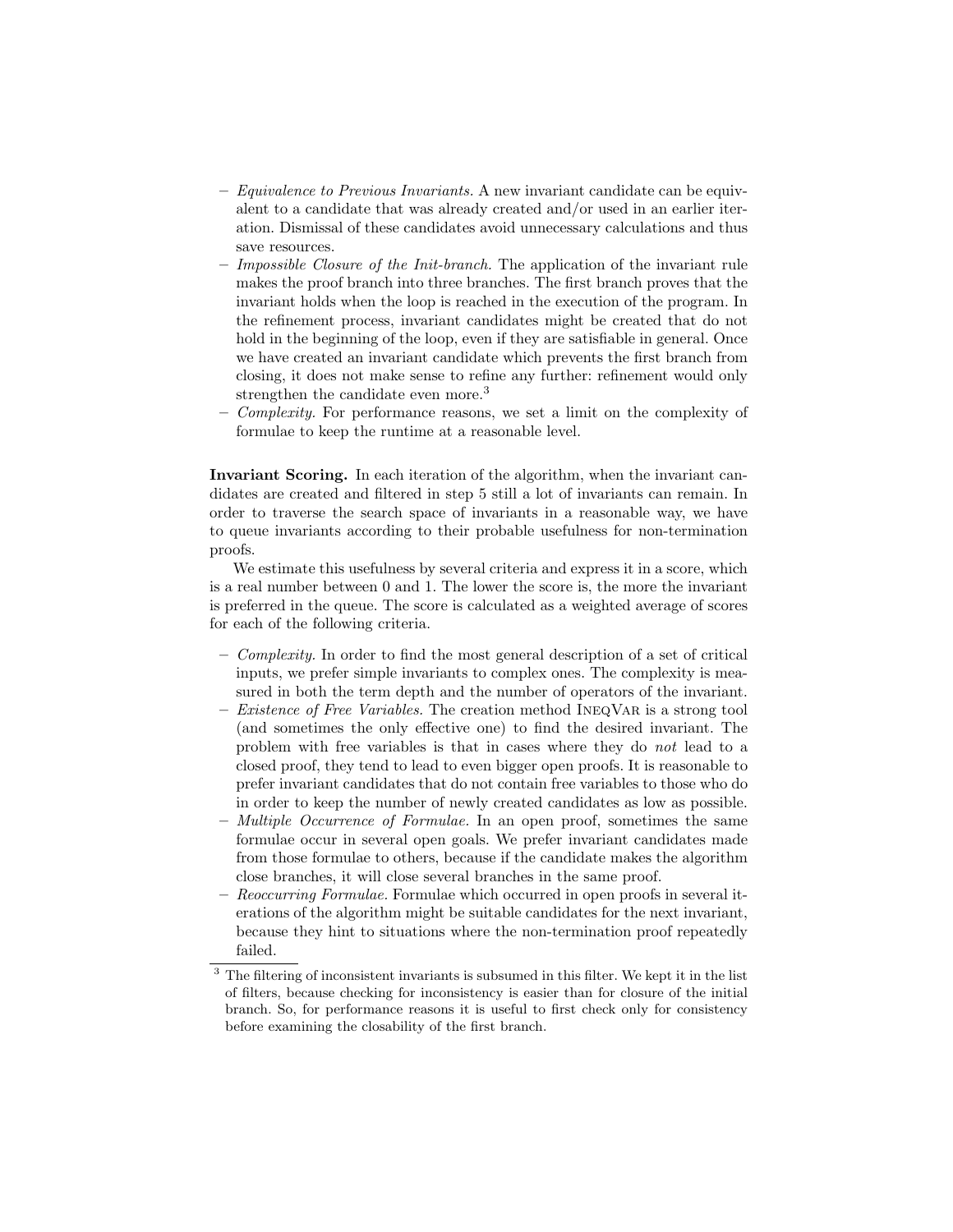- Equivalence to Previous Invariants. A new invariant candidate can be equivalent to a candidate that was already created and/or used in an earlier iteration. Dismissal of these candidates avoid unnecessary calculations and thus save resources.
- Impossible Closure of the Init-branch. The application of the invariant rule makes the proof branch into three branches. The first branch proves that the invariant holds when the loop is reached in the execution of the program. In the refinement process, invariant candidates might be created that do not hold in the beginning of the loop, even if they are satisfiable in general. Once we have created an invariant candidate which prevents the first branch from closing, it does not make sense to refine any further: refinement would only strengthen the candidate even more.<sup>3</sup>
- $-$  Complexity. For performance reasons, we set a limit on the complexity of formulae to keep the runtime at a reasonable level.

Invariant Scoring. In each iteration of the algorithm, when the invariant candidates are created and filtered in step 5 still a lot of invariants can remain. In order to traverse the search space of invariants in a reasonable way, we have to queue invariants according to their probable usefulness for non-termination proofs.

We estimate this usefulness by several criteria and express it in a score, which is a real number between 0 and 1. The lower the score is, the more the invariant is preferred in the queue. The score is calculated as a weighted average of scores for each of the following criteria.

- $-$  Complexity. In order to find the most general description of a set of critical inputs, we prefer simple invariants to complex ones. The complexity is measured in both the term depth and the number of operators of the invariant.
- $-$  *Existence of Free Variables.* The creation method INEQVAR is a strong tool (and sometimes the only effective one) to find the desired invariant. The problem with free variables is that in cases where they do not lead to a closed proof, they tend to lead to even bigger open proofs. It is reasonable to prefer invariant candidates that do not contain free variables to those who do in order to keep the number of newly created candidates as low as possible.
- Multiple Occurrence of Formulae. In an open proof, sometimes the same formulae occur in several open goals. We prefer invariant candidates made from those formulae to others, because if the candidate makes the algorithm close branches, it will close several branches in the same proof.
- Reoccurring Formulae. Formulae which occurred in open proofs in several iterations of the algorithm might be suitable candidates for the next invariant, because they hint to situations where the non-termination proof repeatedly failed.

 $3$  The filtering of inconsistent invariants is subsumed in this filter. We kept it in the list of filters, because checking for inconsistency is easier than for closure of the initial branch. So, for performance reasons it is useful to first check only for consistency before examining the closability of the first branch.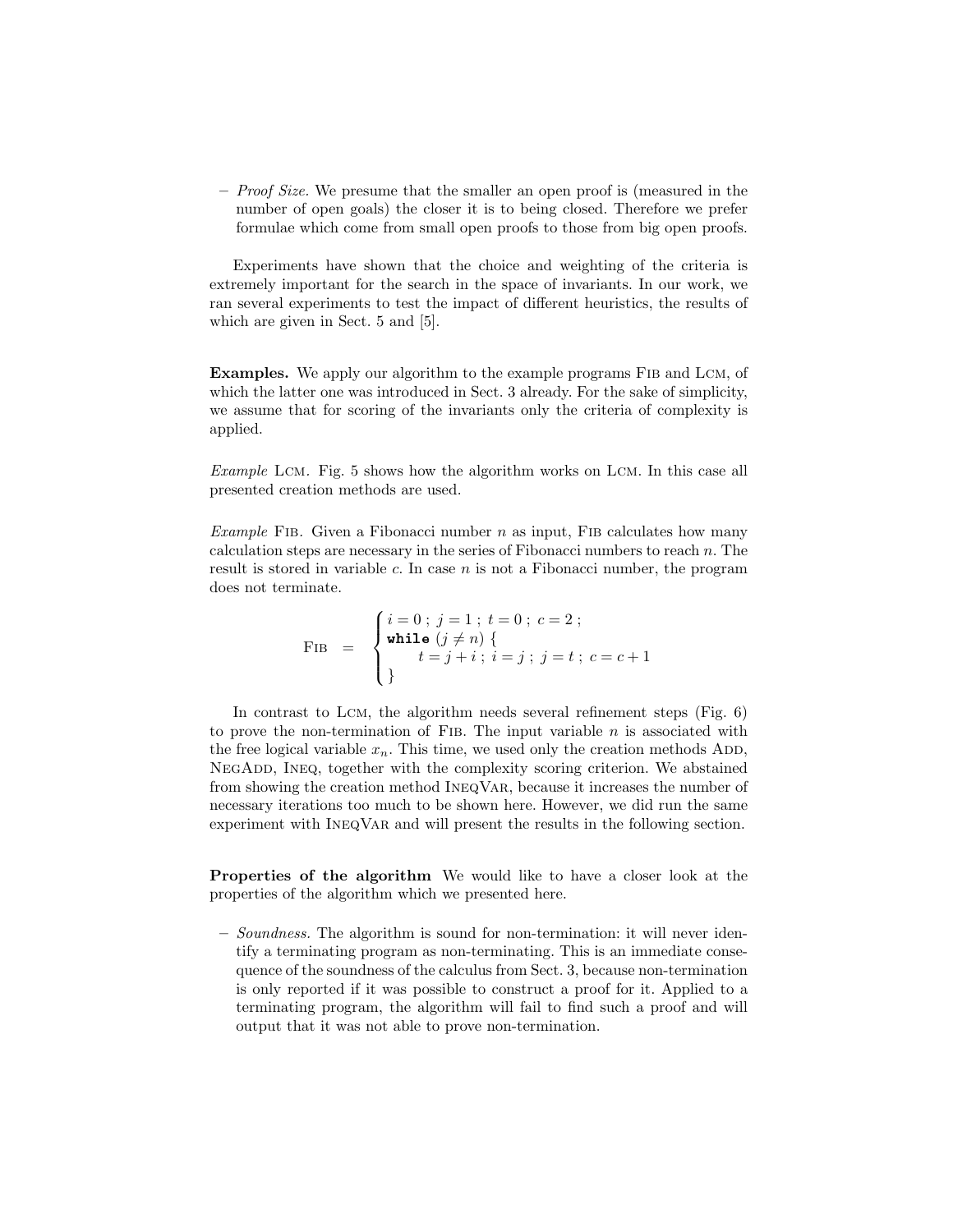– Proof Size. We presume that the smaller an open proof is (measured in the number of open goals) the closer it is to being closed. Therefore we prefer formulae which come from small open proofs to those from big open proofs.

Experiments have shown that the choice and weighting of the criteria is extremely important for the search in the space of invariants. In our work, we ran several experiments to test the impact of different heuristics, the results of which are given in Sect. 5 and [5].

Examples. We apply our algorithm to the example programs FIB and LCM, of which the latter one was introduced in Sect. 3 already. For the sake of simplicity, we assume that for scoring of the invariants only the criteria of complexity is applied.

Example Lcm. Fig. 5 shows how the algorithm works on Lcm. In this case all presented creation methods are used.

Example FIB. Given a Fibonacci number  $n$  as input, FIB calculates how many calculation steps are necessary in the series of Fibonacci numbers to reach  $n$ . The result is stored in variable c. In case  $n$  is not a Fibonacci number, the program does not terminate.

$$
\text{FIB} = \begin{cases} i = 0 \; ; \; j = 1 \; ; \; t = 0 \; ; \; c = 2 \; ; \\ \text{while} \; (j \neq n) \; \{ \\ t = j + i \; ; \; i = j \; ; \; j = t \; ; \; c = c + 1 \end{cases}
$$

In contrast to Lcm, the algorithm needs several refinement steps (Fig. 6) to prove the non-termination of FIB. The input variable  $n$  is associated with the free logical variable  $x_n$ . This time, we used only the creation methods ADD, NEGADD, INEQ, together with the complexity scoring criterion. We abstained from showing the creation method IneqVar, because it increases the number of necessary iterations too much to be shown here. However, we did run the same experiment with IneqVar and will present the results in the following section.

Properties of the algorithm We would like to have a closer look at the properties of the algorithm which we presented here.

– Soundness. The algorithm is sound for non-termination: it will never identify a terminating program as non-terminating. This is an immediate consequence of the soundness of the calculus from Sect. 3, because non-termination is only reported if it was possible to construct a proof for it. Applied to a terminating program, the algorithm will fail to find such a proof and will output that it was not able to prove non-termination.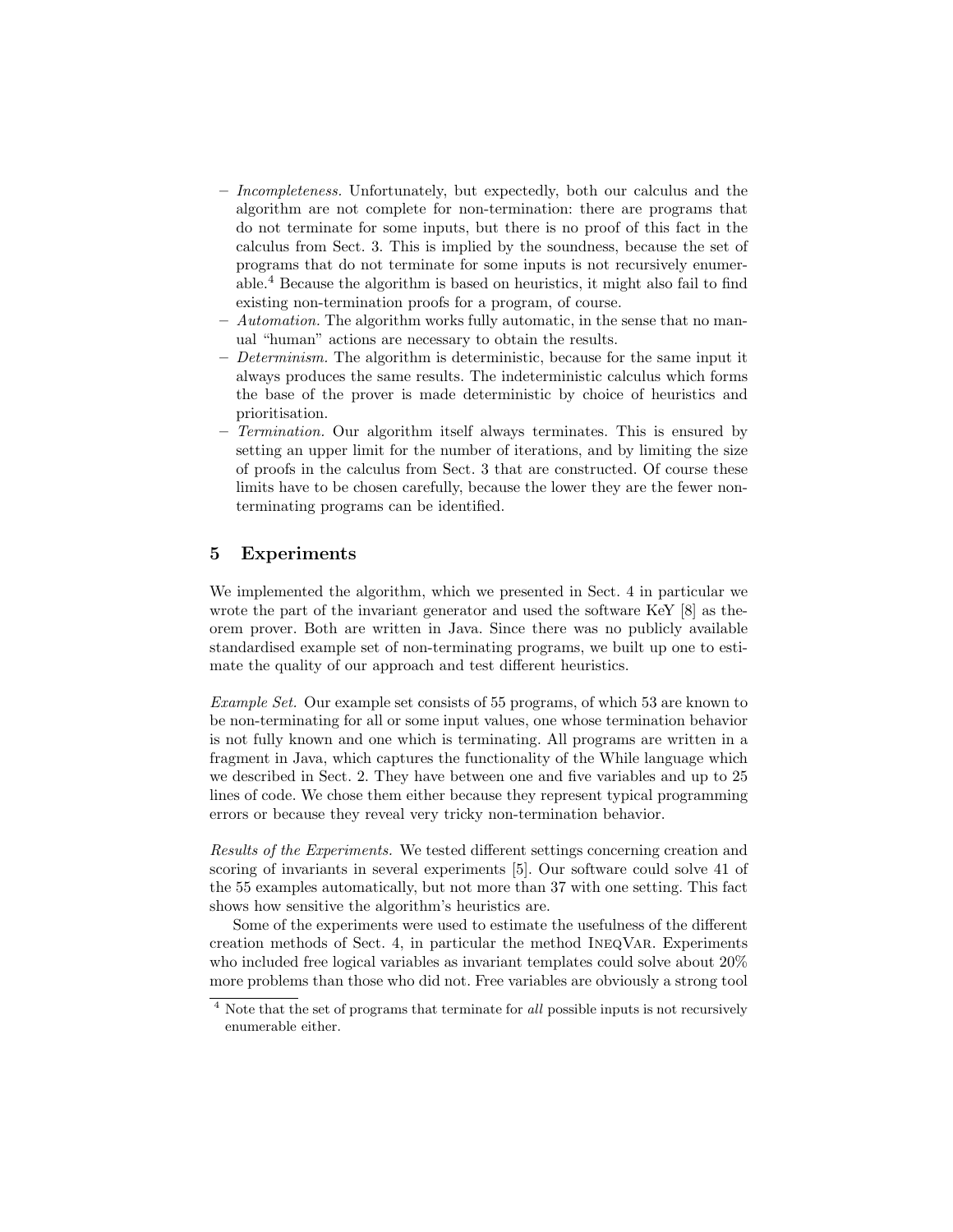- Incompleteness. Unfortunately, but expectedly, both our calculus and the algorithm are not complete for non-termination: there are programs that do not terminate for some inputs, but there is no proof of this fact in the calculus from Sect. 3. This is implied by the soundness, because the set of programs that do not terminate for some inputs is not recursively enumerable.<sup>4</sup> Because the algorithm is based on heuristics, it might also fail to find existing non-termination proofs for a program, of course.
- $-$  Automation. The algorithm works fully automatic, in the sense that no manual "human" actions are necessary to obtain the results.
- $-$  *Determinism.* The algorithm is deterministic, because for the same input it always produces the same results. The indeterministic calculus which forms the base of the prover is made deterministic by choice of heuristics and prioritisation.
- $-$  Termination. Our algorithm itself always terminates. This is ensured by setting an upper limit for the number of iterations, and by limiting the size of proofs in the calculus from Sect. 3 that are constructed. Of course these limits have to be chosen carefully, because the lower they are the fewer nonterminating programs can be identified.

# 5 Experiments

We implemented the algorithm, which we presented in Sect. 4 in particular we wrote the part of the invariant generator and used the software KeY [8] as theorem prover. Both are written in Java. Since there was no publicly available standardised example set of non-terminating programs, we built up one to estimate the quality of our approach and test different heuristics.

Example Set. Our example set consists of 55 programs, of which 53 are known to be non-terminating for all or some input values, one whose termination behavior is not fully known and one which is terminating. All programs are written in a fragment in Java, which captures the functionality of the While language which we described in Sect. 2. They have between one and five variables and up to 25 lines of code. We chose them either because they represent typical programming errors or because they reveal very tricky non-termination behavior.

Results of the Experiments. We tested different settings concerning creation and scoring of invariants in several experiments [5]. Our software could solve 41 of the 55 examples automatically, but not more than 37 with one setting. This fact shows how sensitive the algorithm's heuristics are.

Some of the experiments were used to estimate the usefulness of the different creation methods of Sect. 4, in particular the method IneqVar. Experiments who included free logical variables as invariant templates could solve about 20% more problems than those who did not. Free variables are obviously a strong tool

 $4$  Note that the set of programs that terminate for all possible inputs is not recursively enumerable either.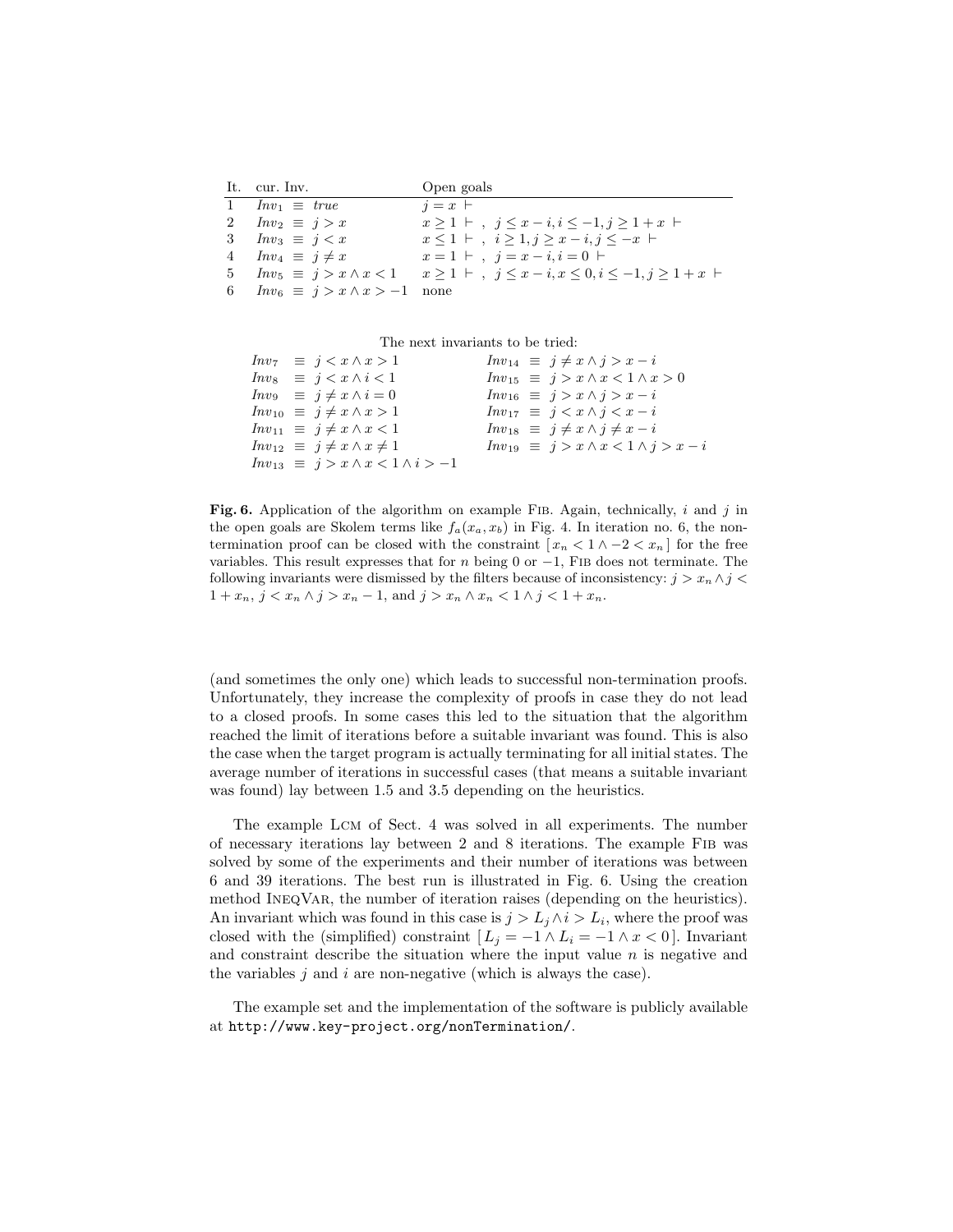| It. cur. Inv.                             | Open goals                                                        |
|-------------------------------------------|-------------------------------------------------------------------|
| $1$ $Inv_1 \equiv true$                   | $i = x +$                                                         |
| 2 $Inv_2 \equiv i > x$                    | $x > 1$ $\vdash$ , $j < x - i, i < -1, j > 1 + x$ $\vdash$        |
| 3 $Inv_3 \equiv i < x$                    | $x < 1$ $\vdash$ , $i > 1, j > x - i, j < -x$ $\vdash$            |
| 4 $Inv_4 \equiv i \neq x$                 | $x = 1 + , j = x - i, i = 0 +$                                    |
| 5 $Inv_5 \equiv i > x \wedge x < 1$       | $x > 1$ $\vdash$ , $j < x - i, x < 0, i < -1, j > 1 + x$ $\vdash$ |
| 6 $Inv_6 \equiv j > x \wedge x > -1$ none |                                                                   |

The next invariants to be tried:

| $Inv_7 \equiv j < x \wedge x > 1$                  | $Inv_{14} \equiv i \neq x \wedge i > x - i$           |
|----------------------------------------------------|-------------------------------------------------------|
| $Inv_8 \equiv i < x \wedge i < 1$                  | $Inv_{15} \equiv j > x \wedge x < 1 \wedge x > 0$     |
| $Inv_9 \equiv i \neq x \wedge i = 0$               | $Inv_{16} \equiv i > x \wedge i > x - i$              |
| $Inv_{10} \equiv i \neq x \wedge x > 1$            | $Inv_{17} \equiv i < x \wedge i < x - i$              |
| $Inv_{11} \equiv j \neq x \wedge x < 1$            | $Inv_{18} \equiv i \neq x \wedge i \neq x - i$        |
| $Inv_{12} \equiv i \neq x \wedge x \neq 1$         | $Inv_{19} \equiv i > x \wedge x < 1 \wedge i > x - i$ |
| $Inv_{13} \equiv i > x \wedge x < 1 \wedge i > -1$ |                                                       |

Fig. 6. Application of the algorithm on example FIB. Again, technically, i and j in the open goals are Skolem terms like  $f_a(x_a, x_b)$  in Fig. 4. In iteration no. 6, the nontermination proof can be closed with the constraint  $[x_n < 1 \land -2 < x_n]$  for the free variables. This result expresses that for n being 0 or  $-1$ , FIB does not terminate. The following invariants were dismissed by the filters because of inconsistency:  $j > x_n \wedge j$  $1 + x_n$ ,  $j < x_n \wedge j > x_n - 1$ , and  $j > x_n \wedge x_n < 1 \wedge j < 1 + x_n$ .

(and sometimes the only one) which leads to successful non-termination proofs. Unfortunately, they increase the complexity of proofs in case they do not lead to a closed proofs. In some cases this led to the situation that the algorithm reached the limit of iterations before a suitable invariant was found. This is also the case when the target program is actually terminating for all initial states. The average number of iterations in successful cases (that means a suitable invariant was found) lay between 1.5 and 3.5 depending on the heuristics.

The example Lcm of Sect. 4 was solved in all experiments. The number of necessary iterations lay between 2 and 8 iterations. The example Fib was solved by some of the experiments and their number of iterations was between 6 and 39 iterations. The best run is illustrated in Fig. 6. Using the creation method IneqVar, the number of iteration raises (depending on the heuristics). An invariant which was found in this case is  $j > L_j \wedge i > L_i$ , where the proof was closed with the (simplified) constraint  $[L_j = -1 \wedge L_i = -1 \wedge x < 0]$ . Invariant and constraint describe the situation where the input value  $n$  is negative and the variables  $j$  and  $i$  are non-negative (which is always the case).

The example set and the implementation of the software is publicly available at http://www.key-project.org/nonTermination/.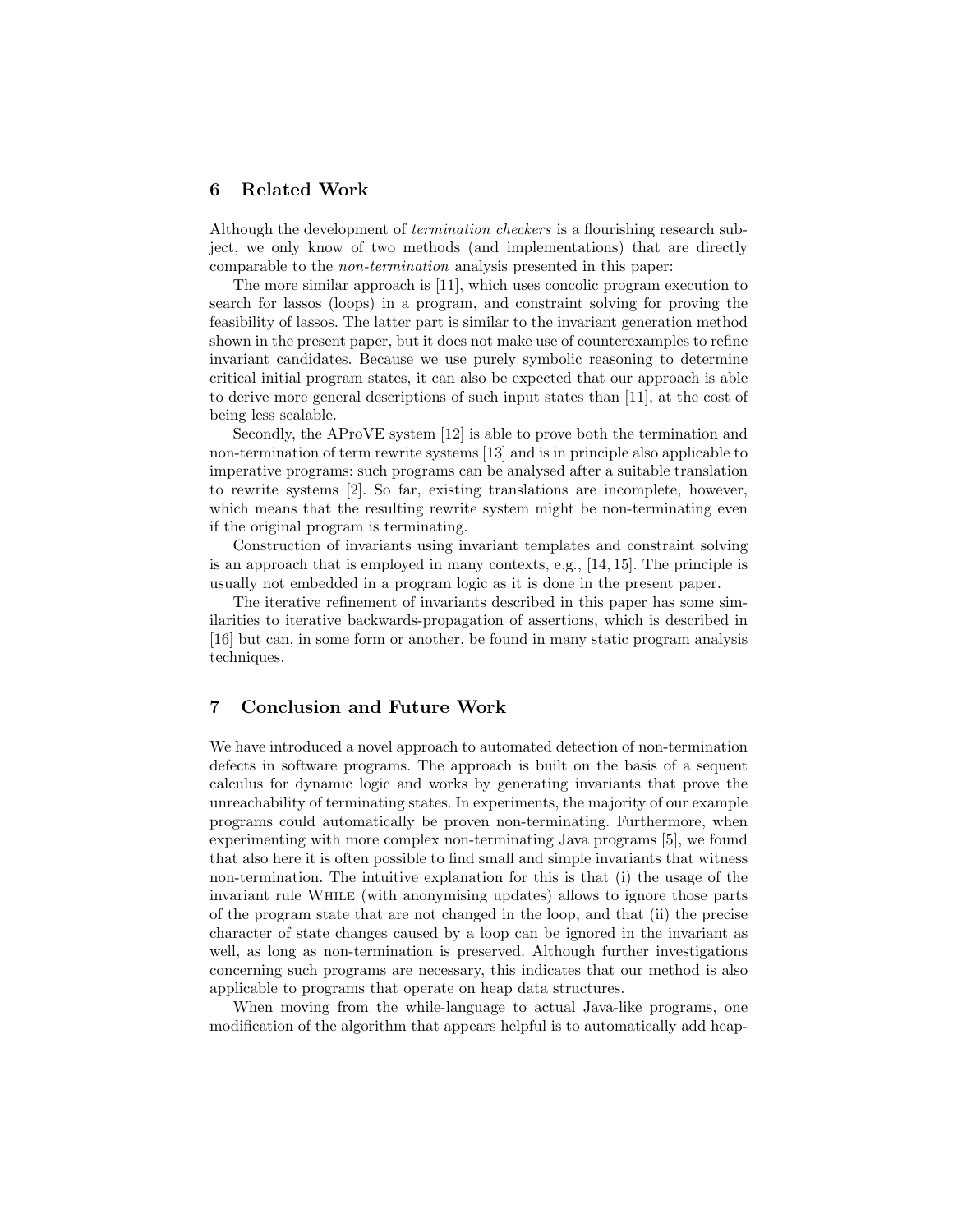## 6 Related Work

Although the development of termination checkers is a flourishing research subject, we only know of two methods (and implementations) that are directly comparable to the non-termination analysis presented in this paper:

The more similar approach is [11], which uses concolic program execution to search for lassos (loops) in a program, and constraint solving for proving the feasibility of lassos. The latter part is similar to the invariant generation method shown in the present paper, but it does not make use of counterexamples to refine invariant candidates. Because we use purely symbolic reasoning to determine critical initial program states, it can also be expected that our approach is able to derive more general descriptions of such input states than [11], at the cost of being less scalable.

Secondly, the AProVE system [12] is able to prove both the termination and non-termination of term rewrite systems [13] and is in principle also applicable to imperative programs: such programs can be analysed after a suitable translation to rewrite systems [2]. So far, existing translations are incomplete, however, which means that the resulting rewrite system might be non-terminating even if the original program is terminating.

Construction of invariants using invariant templates and constraint solving is an approach that is employed in many contexts, e.g., [14, 15]. The principle is usually not embedded in a program logic as it is done in the present paper.

The iterative refinement of invariants described in this paper has some similarities to iterative backwards-propagation of assertions, which is described in [16] but can, in some form or another, be found in many static program analysis techniques.

# 7 Conclusion and Future Work

We have introduced a novel approach to automated detection of non-termination defects in software programs. The approach is built on the basis of a sequent calculus for dynamic logic and works by generating invariants that prove the unreachability of terminating states. In experiments, the majority of our example programs could automatically be proven non-terminating. Furthermore, when experimenting with more complex non-terminating Java programs [5], we found that also here it is often possible to find small and simple invariants that witness non-termination. The intuitive explanation for this is that (i) the usage of the invariant rule While (with anonymising updates) allows to ignore those parts of the program state that are not changed in the loop, and that (ii) the precise character of state changes caused by a loop can be ignored in the invariant as well, as long as non-termination is preserved. Although further investigations concerning such programs are necessary, this indicates that our method is also applicable to programs that operate on heap data structures.

When moving from the while-language to actual Java-like programs, one modification of the algorithm that appears helpful is to automatically add heap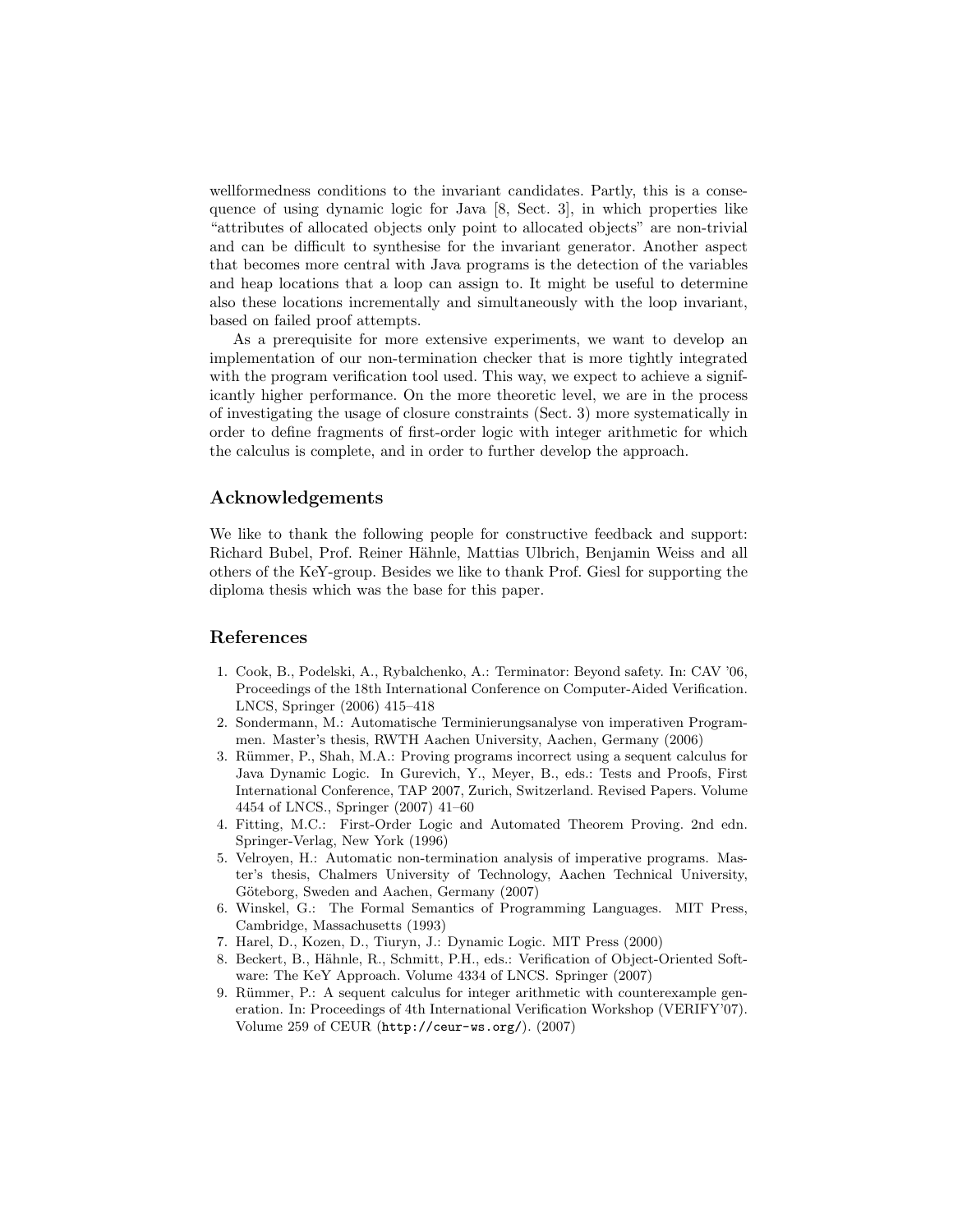wellformedness conditions to the invariant candidates. Partly, this is a consequence of using dynamic logic for Java [8, Sect. 3], in which properties like "attributes of allocated objects only point to allocated objects" are non-trivial and can be difficult to synthesise for the invariant generator. Another aspect that becomes more central with Java programs is the detection of the variables and heap locations that a loop can assign to. It might be useful to determine also these locations incrementally and simultaneously with the loop invariant, based on failed proof attempts.

As a prerequisite for more extensive experiments, we want to develop an implementation of our non-termination checker that is more tightly integrated with the program verification tool used. This way, we expect to achieve a significantly higher performance. On the more theoretic level, we are in the process of investigating the usage of closure constraints (Sect. 3) more systematically in order to define fragments of first-order logic with integer arithmetic for which the calculus is complete, and in order to further develop the approach.

## Acknowledgements

We like to thank the following people for constructive feedback and support: Richard Bubel, Prof. Reiner Hähnle, Mattias Ulbrich, Benjamin Weiss and all others of the KeY-group. Besides we like to thank Prof. Giesl for supporting the diploma thesis which was the base for this paper.

## References

- 1. Cook, B., Podelski, A., Rybalchenko, A.: Terminator: Beyond safety. In: CAV '06, Proceedings of the 18th International Conference on Computer-Aided Verification. LNCS, Springer (2006) 415–418
- 2. Sondermann, M.: Automatische Terminierungsanalyse von imperativen Programmen. Master's thesis, RWTH Aachen University, Aachen, Germany (2006)
- 3. Rümmer, P., Shah, M.A.: Proving programs incorrect using a sequent calculus for Java Dynamic Logic. In Gurevich, Y., Meyer, B., eds.: Tests and Proofs, First International Conference, TAP 2007, Zurich, Switzerland. Revised Papers. Volume 4454 of LNCS., Springer (2007) 41–60
- 4. Fitting, M.C.: First-Order Logic and Automated Theorem Proving. 2nd edn. Springer-Verlag, New York (1996)
- 5. Velroyen, H.: Automatic non-termination analysis of imperative programs. Master's thesis, Chalmers University of Technology, Aachen Technical University, Göteborg, Sweden and Aachen, Germany (2007)
- 6. Winskel, G.: The Formal Semantics of Programming Languages. MIT Press, Cambridge, Massachusetts (1993)
- 7. Harel, D., Kozen, D., Tiuryn, J.: Dynamic Logic. MIT Press (2000)
- 8. Beckert, B., Hähnle, R., Schmitt, P.H., eds.: Verification of Object-Oriented Software: The KeY Approach. Volume 4334 of LNCS. Springer (2007)
- 9. Rümmer, P.: A sequent calculus for integer arithmetic with counterexample generation. In: Proceedings of 4th International Verification Workshop (VERIFY'07). Volume 259 of CEUR (http://ceur-ws.org/). (2007)